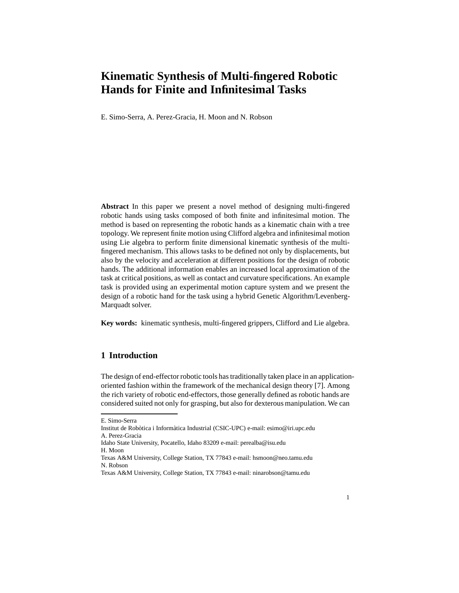# **Kinematic Synthesis of Multi-fingered Robotic Hands for Finite and Infinitesimal Tasks**

E. Simo-Serra, A. Perez-Gracia, H. Moon and N. Robson

**Abstract** In this paper we present a novel method of designing multi-fingered robotic hands using tasks composed of both finite and infinitesimal motion. The method is based on representing the robotic hands as a kinematic chain with a tree topology. We represent finite motion using Clifford algebra and infinitesimal motion using Lie algebra to perform finite dimensional kinematic synthesis of the multifingered mechanism. This allows tasks to be defined not only by displacements, but also by the velocity and acceleration at different positions for the design of robotic hands. The additional information enables an increased local approximation of the task at critical positions, as well as contact and curvature specifications. An example task is provided using an experimental motion capture system and we present the design of a robotic hand for the task using a hybrid Genetic Algorithm/Levenberg-Marquadt solver.

**Key words:** kinematic synthesis, multi-fingered grippers, Clifford and Lie algebra.

# **1 Introduction**

The design of end-effector robotic tools has traditionally taken place in an applicationoriented fashion within the framework of the mechanical design theory [7]. Among the rich variety of robotic end-effectors, those generally defined as robotic hands are considered suited not only for grasping, but also for dexterous manipulation. We can

E. Simo-Serra

Institut de Robòtica i Informàtica Industrial (CSIC-UPC) e-mail: esimo@iri.upc.edu A. Perez-Gracia

Idaho State University, Pocatello, Idaho 83209 e-mail: perealba@isu.edu H. Moon

Texas A&M University, College Station, TX 77843 e-mail: hsmoon@neo.tamu.edu N. Robson

Texas A&M University, College Station, TX 77843 e-mail: ninarobson@tamu.edu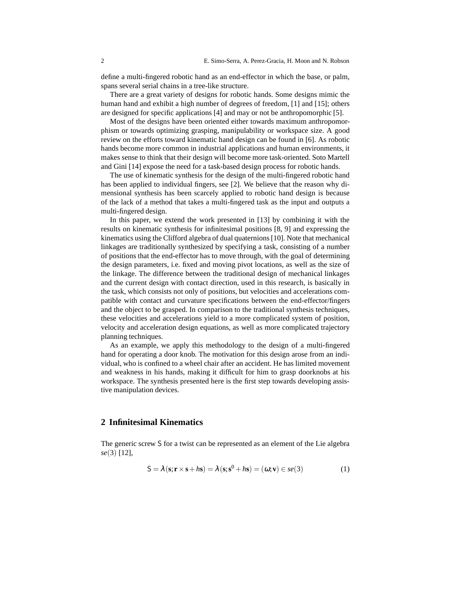define a multi-fingered robotic hand as an end-effector in which the base, or palm, spans several serial chains in a tree-like structure.

There are a great variety of designs for robotic hands. Some designs mimic the human hand and exhibit a high number of degrees of freedom, [1] and [15]; others are designed for specific applications [4] and may or not be anthropomorphic [5].

Most of the designs have been oriented either towards maximum anthropomorphism or towards optimizing grasping, manipulability or workspace size. A good review on the efforts toward kinematic hand design can be found in [6]. As robotic hands become more common in industrial applications and human environments, it makes sense to think that their design will become more task-oriented. Soto Martell and Gini [14] expose the need for a task-based design process for robotic hands.

The use of kinematic synthesis for the design of the multi-fingered robotic hand has been applied to individual fingers, see [2]. We believe that the reason why dimensional synthesis has been scarcely applied to robotic hand design is because of the lack of a method that takes a multi-fingered task as the input and outputs a multi-fingered design.

In this paper, we extend the work presented in [13] by combining it with the results on kinematic synthesis for infinitesimal positions [8, 9] and expressing the kinematics using the Clifford algebra of dual quaternions [10]. Note that mechanical linkages are traditionally synthesized by specifying a task, consisting of a number of positions that the end-effector has to move through, with the goal of determining the design parameters, i.e. fixed and moving pivot locations, as well as the size of the linkage. The difference between the traditional design of mechanical linkages and the current design with contact direction, used in this research, is basically in the task, which consists not only of positions, but velocities and accelerations compatible with contact and curvature specifications between the end-effector/fingers and the object to be grasped. In comparison to the traditional synthesis techniques, these velocities and accelerations yield to a more complicated system of position, velocity and acceleration design equations, as well as more complicated trajectory planning techniques.

As an example, we apply this methodology to the design of a multi-fingered hand for operating a door knob. The motivation for this design arose from an individual, who is confined to a wheel chair after an accident. He has limited movement and weakness in his hands, making it difficult for him to grasp doorknobs at his workspace. The synthesis presented here is the first step towards developing assistive manipulation devices.

#### **2 Infinitesimal Kinematics**

The generic screw S for a twist can be represented as an element of the Lie algebra *se*(3) [12],

$$
S = \lambda(s; \mathbf{r} \times \mathbf{s} + h\mathbf{s}) = \lambda(s; \mathbf{s}^0 + h\mathbf{s}) = (\omega; \mathbf{v}) \in se(3)
$$
 (1)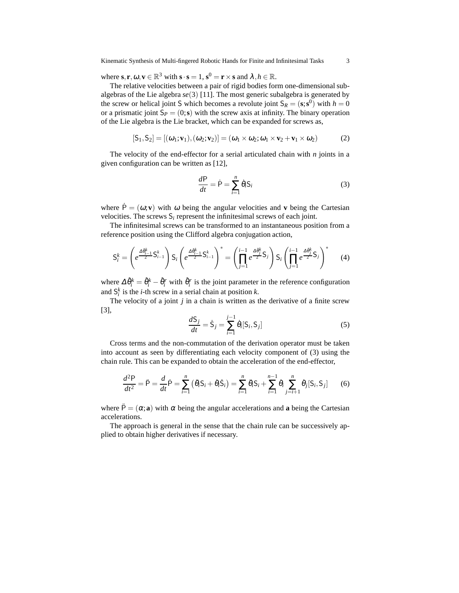where  $\mathbf{s}, \mathbf{r}, \omega, \mathbf{v} \in \mathbb{R}^3$  with  $\mathbf{s} \cdot \mathbf{s} = 1$ ,  $\mathbf{s}^0 = \mathbf{r} \times \mathbf{s}$  and  $\lambda, h \in \mathbb{R}$ .

The relative velocities between a pair of rigid bodies form one-dimensional subalgebras of the Lie algebra *se*(3) [11]. The most generic subalgebra is generated by the screw or helical joint S which becomes a revolute joint  $S_R = (s; s^0)$  with  $h = 0$ or a prismatic joint  $S_p = (0; s)$  with the screw axis at infinity. The binary operation of the Lie algebra is the Lie bracket, which can be expanded for screws as,

$$
[S_1, S_2] = [(\omega_1; \mathbf{v}_1), (\omega_2; \mathbf{v}_2)] = (\omega_1 \times \omega_2; \omega_1 \times \mathbf{v}_2 + \mathbf{v}_1 \times \omega_2)
$$
(2)

The velocity of the end-effector for a serial articulated chain with *n* joints in a given configuration can be written as [12],

$$
\frac{dP}{dt} = \dot{P} = \sum_{i=1}^{n} \dot{\theta}_i S_i
$$
\n(3)

where  $\dot{P} = (\omega; \mathbf{v})$  with  $\omega$  being the angular velocities and **v** being the Cartesian velocities. The screws S*<sup>i</sup>* represent the infinitesimal screws of each joint.

The infinitesimal screws can be transformed to an instantaneous position from a reference position using the Clifford algebra conjugation action,

$$
S_i^k = \left(e^{\frac{\Delta \theta_{i-1}^k}{2} S_{i-1}^k}\right) S_i \left(e^{\frac{\Delta \theta_{i-1}^k}{2} S_{i-1}^k}\right)^* = \left(\prod_{j=1}^{i-1} e^{\frac{\Delta \theta_j^k}{2} S_j}\right) S_i \left(\prod_{j=1}^{i-1} e^{\frac{\Delta \theta_j^k}{2} S_j}\right)^* \tag{4}
$$

where  $\Delta \hat{\theta}_i^k = \hat{\theta}_i^k - \hat{\theta}_i^r$  with  $\hat{\theta}_i^r$  is the joint parameter in the reference configuration and  $S_i^k$  is the *i*-th screw in a serial chain at position *k*.

The velocity of a joint *j* in a chain is written as the derivative of a finite screw [3],

$$
\frac{dS_j}{dt} = \dot{S}_j = \sum_{i=1}^{j-1} \dot{\theta}_i[S_i, S_j]
$$
(5)

Cross terms and the non-commutation of the derivation operator must be taken into account as seen by differentiating each velocity component of (3) using the chain rule. This can be expanded to obtain the acceleration of the end-effector,

$$
\frac{d^2P}{dt^2} = \ddot{P} = \frac{d}{dt}\dot{P} = \sum_{i=1}^n (\ddot{\theta}_i S_i + \dot{\theta}_i \dot{S}_i) = \sum_{i=1}^n \ddot{\theta}_i S_i + \sum_{i=1}^{n-1} \dot{\theta}_i \sum_{j=i+1}^n \dot{\theta}_j [S_i, S_j]
$$
(6)

where  $\ddot{P} = (\alpha; \mathbf{a})$  with  $\alpha$  being the angular accelerations and **a** being the Cartesian accelerations.

The approach is general in the sense that the chain rule can be successively applied to obtain higher derivatives if necessary.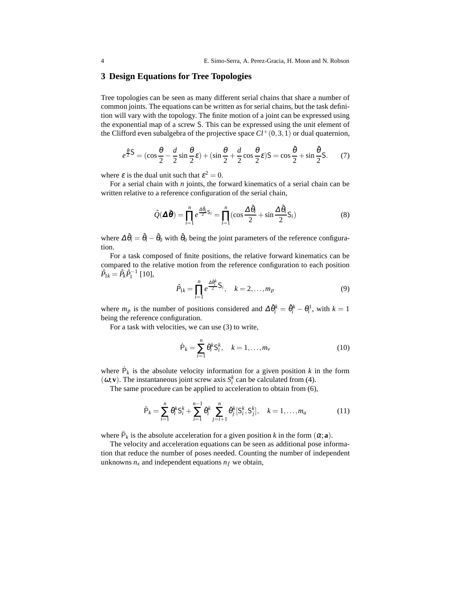#### **3 Design Equations for Tree Topologies**

Tree topologies can be seen as many different serial chains that share a number of common joints. The equations can be written as for serial chains, but the task definition will vary with the topology. The finite motion of a joint can be expressed using the exponential map of a screw S. This can be expressed using the unit element of the Clifford even subalgebra of the projective space  $Cl^+(0,3,1)$  or dual quaternion,

$$
e^{\frac{\theta}{2}S} = (\cos\frac{\theta}{2} - \frac{d}{2}\sin\frac{\theta}{2}\varepsilon) + (\sin\frac{\theta}{2} + \frac{d}{2}\cos\frac{\theta}{2}\varepsilon)S = \cos\frac{\hat{\theta}}{2} + \sin\frac{\hat{\theta}}{2}S. \tag{7}
$$

where  $\varepsilon$  is the dual unit such that  $\varepsilon^2 = 0$ .

For a serial chain with *n* joints, the forward kinematics of a serial chain can be written relative to a reference configuration of the serial chain,

$$
\hat{Q}(\Delta \hat{\boldsymbol{\theta}}) = \prod_{i=1}^{n} e^{\frac{\Delta \hat{\theta}_{i}}{2} S_{i}} = \prod_{i=1}^{n} (\cos \frac{\Delta \hat{\theta}_{i}}{2} + \sin \frac{\Delta \hat{\theta}_{i}}{2} S_{i})
$$
(8)

where  $\Delta \hat{\theta}_i = \hat{\theta}_i - \hat{\theta}_0$  with  $\hat{\theta}_0$  being the joint parameters of the reference configuration.

For a task composed of finite positions, the relative forward kinematics can be compared to the relative motion from the reference configuration to each position  $\hat{P}_{1k} = \hat{P}_k \hat{P}_1^{-1}$  [10],

$$
\hat{P}_{1k} = \prod_{i=1}^{n} e^{\frac{\Delta \hat{\theta}_i^k}{2} S_i}, \quad k = 2, \dots, m_p
$$
\n(9)

where  $m_p$  is the number of positions considered and  $\Delta \hat{\theta}_i^k = \hat{\theta}_i^k - \theta_i^1$ , with  $k = 1$ being the reference configuration.

For a task with velocities, we can use (3) to write,

$$
\dot{\mathsf{P}}_k = \sum_{i=1}^n \dot{\theta}_i^k \mathsf{S}_i^k, \quad k = 1, \dots, m_\nu \tag{10}
$$

where  $\dot{P}_k$  is the absolute velocity information for a given position *k* in the form  $(\omega; \mathbf{v})$ . The instantaneous joint screw axis  $S_i^k$  can be calculated from (4).

The same procedure can be applied to acceleration to obtain from (6),

$$
\ddot{\mathsf{P}}_k = \sum_{i=1}^n \ddot{\theta}_i^k \mathsf{S}_i^k + \sum_{i=1}^{n-1} \dot{\theta}_i^k \sum_{j=i+1}^n \dot{\theta}_j^k [\mathsf{S}_i^k, \mathsf{S}_j^k], \quad k = 1, \dots, m_a \tag{11}
$$

where  $\ddot{P}_k$  is the absolute acceleration for a given position *k* in the form  $(\alpha; \mathbf{a})$ .

The velocity and acceleration equations can be seen as additional pose information that reduce the number of poses needed. Counting the number of independent unknowns  $n_x$  and independent equations  $n_f$  we obtain,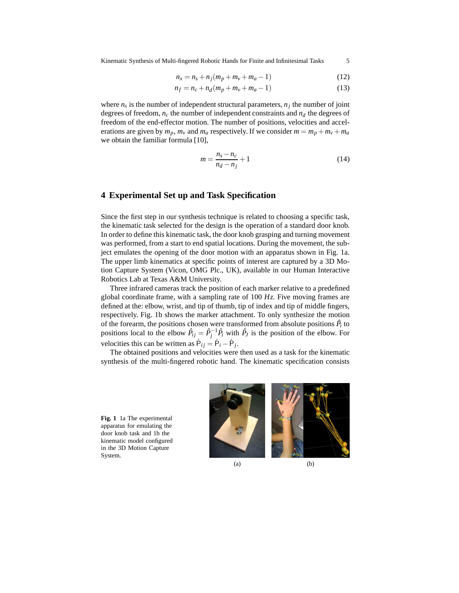Kinematic Synthesis of Multi-fingered Robotic Hands for Finite and Infinitesimal Tasks 5

$$
n_x = n_s + n_j(m_p + m_v + m_a - 1)
$$
 (12)

$$
n_f = n_c + n_d(m_p + m_v + m_a - 1)
$$
\n(13)

where  $n_s$  is the number of independent structural parameters,  $n_j$  the number of joint degrees of freedom,  $n_c$  the number of independent constraints and  $n_d$  the degrees of freedom of the end-effector motion. The number of positions, velocities and accelerations are given by  $m_p$ ,  $m_v$  and  $m_a$  respectively. If we consider  $m = m_p + m_v + m_a$ we obtain the familiar formula [10],

$$
m = \frac{n_s - n_c}{n_d - n_j} + 1\tag{14}
$$

#### **4 Experimental Set up and Task Specification**

Since the first step in our synthesis technique is related to choosing a specific task, the kinematic task selected for the design is the operation of a standard door knob. In order to define this kinematic task, the door knob grasping and turning movement was performed, from a start to end spatial locations. During the movement, the subject emulates the opening of the door motion with an apparatus shown in Fig. 1a. The upper limb kinematics at specific points of interest are captured by a 3D Motion Capture System (Vicon, OMG Plc., UK), available in our Human Interactive Robotics Lab at Texas A&M University.

Three infrared cameras track the position of each marker relative to a predefined global coordinate frame, with a sampling rate of 100 *Hz*. Five moving frames are defined at the: elbow, wrist, and tip of thumb, tip of index and tip of middle fingers, respectively. Fig. 1b shows the marker attachment. To only synthesize the motion of the forearm, the positions chosen were transformed from absolute positions  $\hat{P}_i$  to positions local to the elbow  $\hat{P}_{ij} = \hat{P}_{j}^{-1} \hat{P}_{i}$  with  $\hat{P}_{j}$  is the position of the elbow. For velocities this can be written as  $\dot{P}_{ij} = \dot{P}_i - \dot{P}_j$ .

The obtained positions and velocities were then used as a task for the kinematic synthesis of the multi-fingered robotic hand. The kinematic specification consists

**Fig. 1** 1a The experimental apparatus for emulating the door knob task and 1b the kinematic model configured in the 3D Motion Capture System.



(a) (b)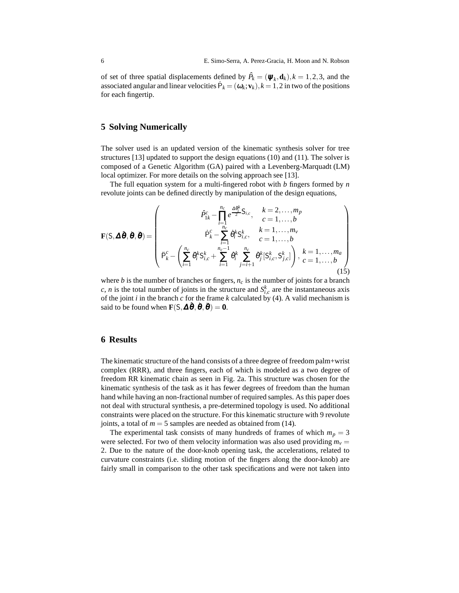of set of three spatial displacements defined by  $\hat{P}_k = (\psi_k, \mathbf{d}_k)$ ,  $k = 1, 2, 3$ , and the associated angular and linear velocities  $\dot{P}_k = (\omega_k; \mathbf{v}_k)$ ,  $k = 1, 2$  in two of the positions for each fingertip.

### **5 Solving Numerically**

The solver used is an updated version of the kinematic synthesis solver for tree structures [13] updated to support the design equations (10) and (11). The solver is composed of a Genetic Algorithm (GA) paired with a Levenberg-Marquadt (LM) local optimizer. For more details on the solving approach see [13].

The full equation system for a multi-fingered robot with *b* fingers formed by *n* revolute joints can be defined directly by manipulation of the design equations,

$$
\mathbf{F}(\mathbf{S}, \mathbf{\Delta\theta}, \dot{\mathbf{\theta}}, \ddot{\mathbf{\theta}}) = \begin{pmatrix} \hat{P}_{1k}^{c} - \prod_{i=1}^{n_c} e^{\frac{\Delta \hat{\theta}_i^k}{2} \mathbf{S}_{i,c}}, & k = 2, ..., m_p \\ \hat{P}_{1k}^{c} - \prod_{i=1}^{n_c} e^{\frac{\Delta \hat{\theta}_i^k}{2} \mathbf{S}_{i,c}}, & k = 1, ..., b \\ \hat{P}_{k}^{c} - \left( \sum_{i=1}^{n_c} \ddot{\theta}_i^k \mathbf{S}_{i,c}^k + \sum_{i=1}^{n_c - 1} \dot{\theta}_i^k \sum_{j=i+1}^{n_c} \dot{\theta}_j^k [\mathbf{S}_{i,c}^k, \mathbf{S}_{j,c}^k] \right), & k = 1, ..., m_a \\ \vdots & \vdots & \vdots & \vdots \\ \mathbf{P}_{k}^{c} - \left( \sum_{i=1}^{n_c} \ddot{\theta}_i^k \mathbf{S}_{i,c}^k + \sum_{i=1}^{n_c - 1} \dot{\theta}_i^k \sum_{j=i+1}^{n_c} \dot{\theta}_j^k [\mathbf{S}_{i,c}^k, \mathbf{S}_{j,c}^k] \right), & k = 1, ..., m_a \end{pmatrix} \tag{15}
$$

where *b* is the number of branches or fingers,  $n_c$  is the number of joints for a branch *c*, *n* is the total number of joints in the structure and  $S_{i,c}^k$  are the instantaneous axis of the joint  $i$  in the branch  $c$  for the frame  $k$  calculated by (4). A valid mechanism is said to be found when  $\mathbf{F}(\mathsf{S}, \mathbf{\Delta}\hat{\boldsymbol{\theta}}, \dot{\boldsymbol{\theta}}, \ddot{\boldsymbol{\theta}}) = \mathbf{0}.$ 

#### **6 Results**

The kinematic structure of the hand consists of a three degree of freedom palm+wrist complex (RRR), and three fingers, each of which is modeled as a two degree of freedom RR kinematic chain as seen in Fig. 2a. This structure was chosen for the kinematic synthesis of the task as it has fewer degrees of freedom than the human hand while having an non-fractional number of required samples. As this paper does not deal with structural synthesis, a pre-determined topology is used. No additional constraints were placed on the structure. For this kinematic structure with 9 revolute joints, a total of  $m = 5$  samples are needed as obtained from (14).

The experimental task consists of many hundreds of frames of which  $m_p = 3$ were selected. For two of them velocity information was also used providing  $m<sub>v</sub>$  = 2. Due to the nature of the door-knob opening task, the accelerations, related to curvature constraints (i.e. sliding motion of the fingers along the door-knob) are fairly small in comparison to the other task specifications and were not taken into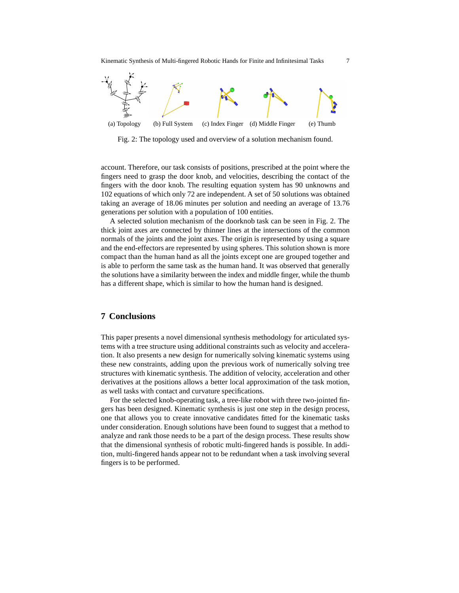Kinematic Synthesis of Multi-fingered Robotic Hands for Finite and Infinitesimal Tasks 7



Fig. 2: The topology used and overview of a solution mechanism found.

account. Therefore, our task consists of positions, prescribed at the point where the fingers need to grasp the door knob, and velocities, describing the contact of the fingers with the door knob. The resulting equation system has 90 unknowns and 102 equations of which only 72 are independent. A set of 50 solutions was obtained taking an average of 18.06 minutes per solution and needing an average of 13.76 generations per solution with a population of 100 entities.

A selected solution mechanism of the doorknob task can be seen in Fig. 2. The thick joint axes are connected by thinner lines at the intersections of the common normals of the joints and the joint axes. The origin is represented by using a square and the end-effectors are represented by using spheres. This solution shown is more compact than the human hand as all the joints except one are grouped together and is able to perform the same task as the human hand. It was observed that generally the solutions have a similarity between the index and middle finger, while the thumb has a different shape, which is similar to how the human hand is designed.

#### **7 Conclusions**

This paper presents a novel dimensional synthesis methodology for articulated systems with a tree structure using additional constraints such as velocity and acceleration. It also presents a new design for numerically solving kinematic systems using these new constraints, adding upon the previous work of numerically solving tree structures with kinematic synthesis. The addition of velocity, acceleration and other derivatives at the positions allows a better local approximation of the task motion, as well tasks with contact and curvature specifications.

For the selected knob-operating task, a tree-like robot with three two-jointed fingers has been designed. Kinematic synthesis is just one step in the design process, one that allows you to create innovative candidates fitted for the kinematic tasks under consideration. Enough solutions have been found to suggest that a method to analyze and rank those needs to be a part of the design process. These results show that the dimensional synthesis of robotic multi-fingered hands is possible. In addition, multi-fingered hands appear not to be redundant when a task involving several fingers is to be performed.